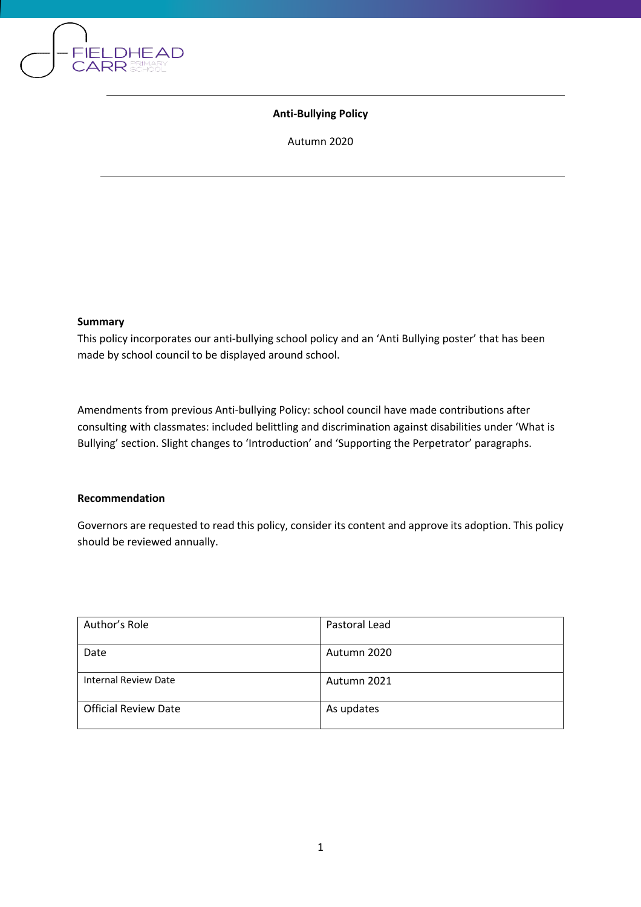

## **Anti-Bullying Policy**

Autumn 2020

#### **Summary**

This policy incorporates our anti-bullying school policy and an 'Anti Bullying poster' that has been made by school council to be displayed around school.

Amendments from previous Anti-bullying Policy: school council have made contributions after consulting with classmates: included belittling and discrimination against disabilities under 'What is Bullying' section. Slight changes to 'Introduction' and 'Supporting the Perpetrator' paragraphs.

### **Recommendation**

Governors are requested to read this policy, consider its content and approve its adoption. This policy should be reviewed annually.

| Author's Role               | Pastoral Lead |
|-----------------------------|---------------|
| Date                        | Autumn 2020   |
| <b>Internal Review Date</b> | Autumn 2021   |
| <b>Official Review Date</b> | As updates    |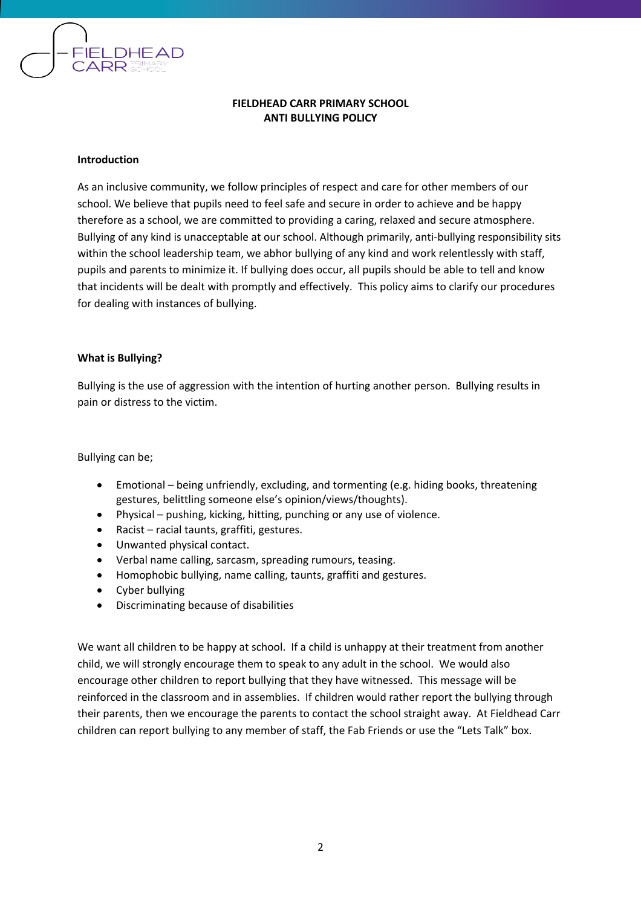

## **FIELDHEAD CARR PRIMARY SCHOOL ANTI BULLYING POLICY**

#### **Introduction**

As an inclusive community, we follow principles of respect and care for other members of our school. We believe that pupils need to feel safe and secure in order to achieve and be happy therefore as a school, we are committed to providing a caring, relaxed and secure atmosphere. Bullying of any kind is unacceptable at our school. Although primarily, anti-bullying responsibility sits within the school leadership team, we abhor bullying of any kind and work relentlessly with staff, pupils and parents to minimize it. If bullying does occur, all pupils should be able to tell and know that incidents will be dealt with promptly and effectively. This policy aims to clarify our procedures for dealing with instances of bullying.

#### **What is Bullying?**

Bullying is the use of aggression with the intention of hurting another person. Bullying results in pain or distress to the victim.

Bullying can be;

- Emotional being unfriendly, excluding, and tormenting (e.g. hiding books, threatening gestures, belittling someone else's opinion/views/thoughts).
- Physical pushing, kicking, hitting, punching or any use of violence.
- Racist racial taunts, graffiti, gestures.
- Unwanted physical contact.
- Verbal name calling, sarcasm, spreading rumours, teasing.
- Homophobic bullying, name calling, taunts, graffiti and gestures.
- Cyber bullying
- Discriminating because of disabilities

We want all children to be happy at school. If a child is unhappy at their treatment from another child, we will strongly encourage them to speak to any adult in the school. We would also encourage other children to report bullying that they have witnessed. This message will be reinforced in the classroom and in assemblies. If children would rather report the bullying through their parents, then we encourage the parents to contact the school straight away. At Fieldhead Carr children can report bullying to any member of staff, the Fab Friends or use the "Lets Talk" box.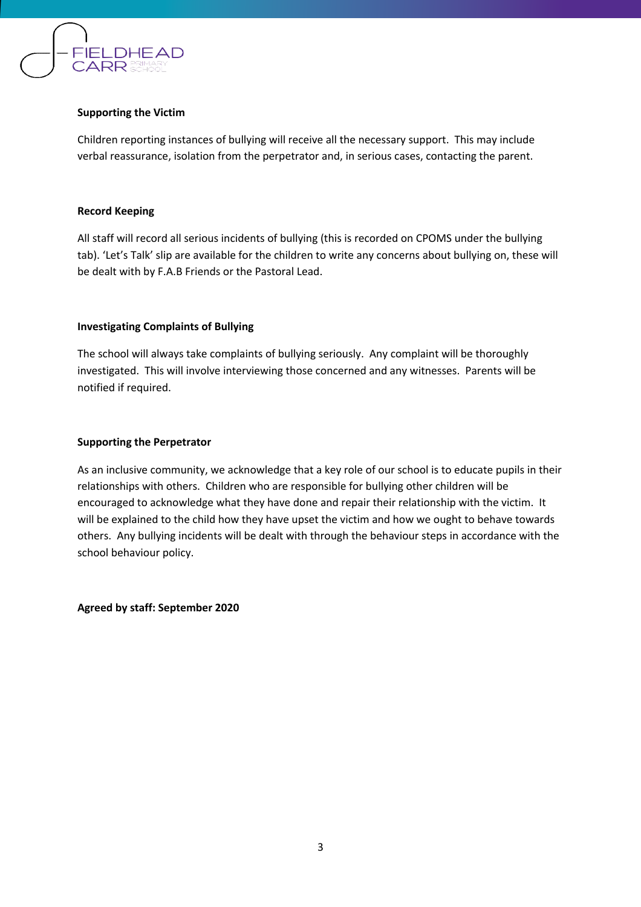

## **Supporting the Victim**

Children reporting instances of bullying will receive all the necessary support. This may include verbal reassurance, isolation from the perpetrator and, in serious cases, contacting the parent.

### **Record Keeping**

All staff will record all serious incidents of bullying (this is recorded on CPOMS under the bullying tab). 'Let's Talk' slip are available for the children to write any concerns about bullying on, these will be dealt with by F.A.B Friends or the Pastoral Lead.

### **Investigating Complaints of Bullying**

The school will always take complaints of bullying seriously. Any complaint will be thoroughly investigated. This will involve interviewing those concerned and any witnesses. Parents will be notified if required.

### **Supporting the Perpetrator**

As an inclusive community, we acknowledge that a key role of our school is to educate pupils in their relationships with others. Children who are responsible for bullying other children will be encouraged to acknowledge what they have done and repair their relationship with the victim. It will be explained to the child how they have upset the victim and how we ought to behave towards others. Any bullying incidents will be dealt with through the behaviour steps in accordance with the school behaviour policy.

**Agreed by staff: September 2020**